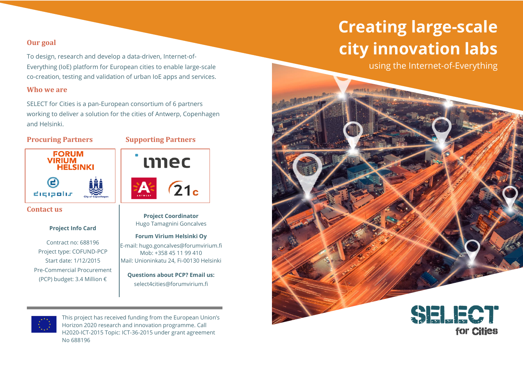#### **Our goal**

To design, research and develop a data-driven, Internet-of-Everything (IoE) platform for European cities to enable large-scale co-creation, testing and validation of urban IoE apps and services.

#### **Who we are**

SELECT for Cities is a pan-European consortium of 6 partners working to deliver a solution for the cities of Antwerp, Copenhagen and Helsinki.

#### **Procuring Partners Supporting Partners**



#### **Contact us**

#### **Project Info Card**

Contract no: 688196 Project type: COFUND-PCP Start date: 1/12/2015 Pre-Commercial Procurement (PCP) budget: 3.4 Million €

# mec  $\sqrt{21}$

**Project Coordinator** Hugo Tamagnini Goncalves

#### **Forum Virium Helsinki Oy**

E-mail: [hugo.goncalves@forumvirium.fi](mailto:hugo.goncalves@forumvirium.fi) Mob: +358 45 11 99 410 Mail: Unioninkatu 24, Fi-00130 Helsinki

**Questions about PCP? Email us:** select4cities@forumvirium.fi



This project has received funding from the European Union's Horizon 2020 research and innovation programme. Call H2020-ICT-2015 Topic: ICT-36-2015 under grant agreement No 688196

## **Creating large-scale city innovation labs**

using the Internet-of-Everything